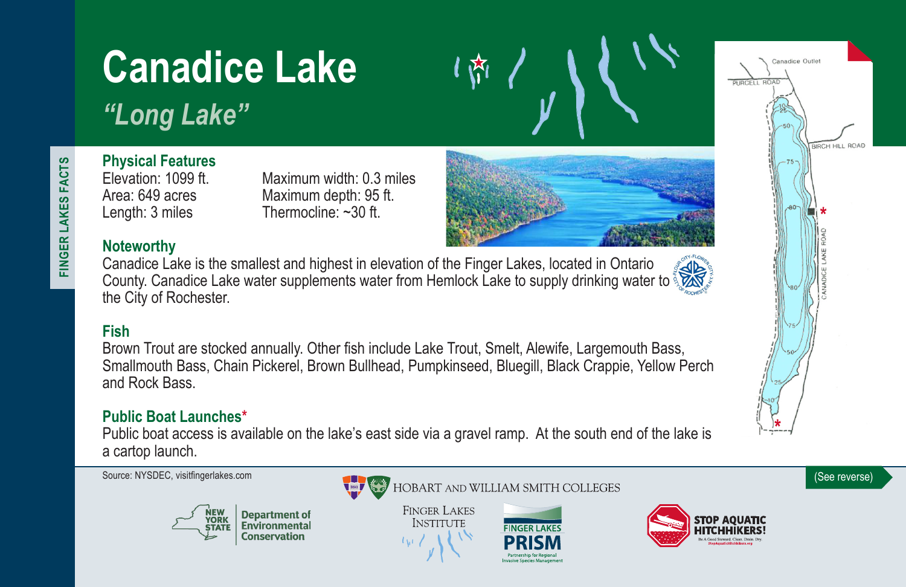# **Canadice Lake**

*"Long Lake"*

# **Physical Features**

Elevation: 1099 ft. Maximum width: 0.3 miles<br>Area: 649 acres Maximum depth: 95 ft. Maximum depth: 95 ft. Length: 3 miles Thermocline: ~30 ft.

# **Noteworthy**

Canadice Lake is the smallest and highest in elevation of the Finger Lakes, located in Ontario County. Canadice Lake water supplements water from Hemlock Lake to supply drinking water to the City of Rochester.

# **Fish**

Brown Trout are stocked annually. Other fish include Lake Trout, Smelt, Alewife, Largemouth Bass, Smallmouth Bass, Chain Pickerel, Brown Bullhead, Pumpkinseed, Bluegill, Black Crappie, Yellow Perch and Rock Bass.

### **Public Boat Launches\***

Public boat access is available on the lake's east side via a gravel ramp. At the south end of the lake is a cartop launch.



**Department of**<br>Environmental **Conservation** 



**FINGER LAKES INSTITUTE** 









FINGER LAKES FACTS **FINGER LAKES FACTS**